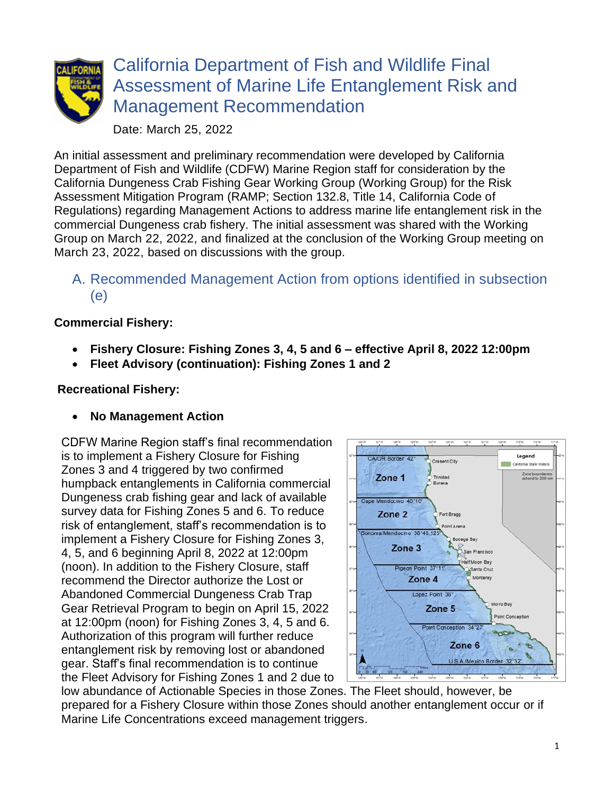

# California Department of Fish and Wildlife Final Assessment of Marine Life Entanglement Risk and Management Recommendation

Date: March 25, 2022

An initial assessment and preliminary recommendation were developed by California Department of Fish and Wildlife (CDFW) Marine Region staff for consideration by the California Dungeness Crab Fishing Gear Working Group (Working Group) for the Risk Assessment Mitigation Program (RAMP; Section 132.8, Title 14, California Code of Regulations) regarding Management Actions to address marine life entanglement risk in the commercial Dungeness crab fishery. The initial assessment was shared with the Working Group on March 22, 2022, and finalized at the conclusion of the Working Group meeting on March 23, 2022, based on discussions with the group.

## A. Recommended Management Action from options identified in subsection (e)

### **Commercial Fishery:**

- **Fishery Closure: Fishing Zones 3, 4, 5 and 6 – effective April 8, 2022 12:00pm**
- **Fleet Advisory (continuation): Fishing Zones 1 and 2**

#### **Recreational Fishery:**

• **No Management Action**

CDFW Marine Region staff's final recommendation is to implement a Fishery Closure for Fishing Zones 3 and 4 triggered by two confirmed humpback entanglements in California commercial Dungeness crab fishing gear and lack of available survey data for Fishing Zones 5 and 6. To reduce risk of entanglement, staff's recommendation is to implement a Fishery Closure for Fishing Zones 3, 4, 5, and 6 beginning April 8, 2022 at 12:00pm (noon). In addition to the Fishery Closure, staff recommend the Director authorize the Lost or Abandoned Commercial Dungeness Crab Trap Gear Retrieval Program to begin on April 15, 2022 at 12:00pm (noon) for Fishing Zones 3, 4, 5 and 6. Authorization of this program will further reduce entanglement risk by removing lost or abandoned gear. Staff's final recommendation is to continue the Fleet Advisory for Fishing Zones 1 and 2 due to



low abundance of Actionable Species in those Zones. The Fleet should, however, be prepared for a Fishery Closure within those Zones should another entanglement occur or if Marine Life Concentrations exceed management triggers.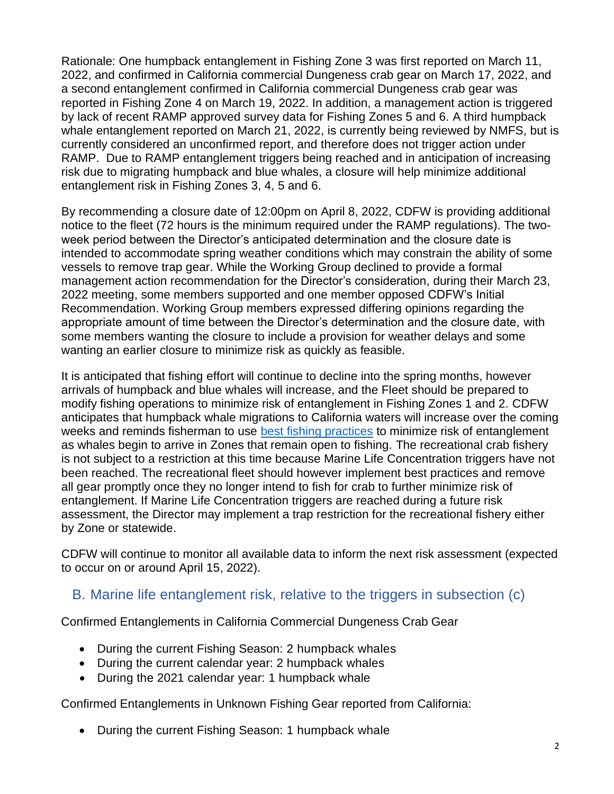Rationale: One humpback entanglement in Fishing Zone 3 was first reported on March 11, 2022, and confirmed in California commercial Dungeness crab gear on March 17, 2022, and a second entanglement confirmed in California commercial Dungeness crab gear was reported in Fishing Zone 4 on March 19, 2022. In addition, a management action is triggered by lack of recent RAMP approved survey data for Fishing Zones 5 and 6. A third humpback whale entanglement reported on March 21, 2022, is currently being reviewed by NMFS, but is currently considered an unconfirmed report, and therefore does not trigger action under RAMP. Due to RAMP entanglement triggers being reached and in anticipation of increasing risk due to migrating humpback and blue whales, a closure will help minimize additional entanglement risk in Fishing Zones 3, 4, 5 and 6.

By recommending a closure date of 12:00pm on April 8, 2022, CDFW is providing additional notice to the fleet (72 hours is the minimum required under the RAMP regulations). The twoweek period between the Director's anticipated determination and the closure date is intended to accommodate spring weather conditions which may constrain the ability of some vessels to remove trap gear. While the Working Group declined to provide a formal management action recommendation for the Director's consideration, during their March 23, 2022 meeting, some members supported and one member opposed CDFW's Initial Recommendation. Working Group members expressed differing opinions regarding the appropriate amount of time between the Director's determination and the closure date, with some members wanting the closure to include a provision for weather delays and some wanting an earlier closure to minimize risk as quickly as feasible.

It is anticipated that fishing effort will continue to decline into the spring months, however arrivals of humpback and blue whales will increase, and the Fleet should be prepared to modify fishing operations to minimize risk of entanglement in Fishing Zones 1 and 2. CDFW anticipates that humpback whale migrations to California waters will increase over the coming weeks and reminds fisherman to use [best fishing practices](https://nrm.dfg.ca.gov/FileHandler.ashx?DocumentID=195428&inline) to minimize risk of entanglement as whales begin to arrive in Zones that remain open to fishing. The recreational crab fishery is not subject to a restriction at this time because Marine Life Concentration triggers have not been reached. The recreational fleet should however implement best practices and remove all gear promptly once they no longer intend to fish for crab to further minimize risk of entanglement. If Marine Life Concentration triggers are reached during a future risk assessment, the Director may implement a trap restriction for the recreational fishery either by Zone or statewide.

CDFW will continue to monitor all available data to inform the next risk assessment (expected to occur on or around April 15, 2022).

#### B. Marine life entanglement risk, relative to the triggers in subsection (c)

Confirmed Entanglements in California Commercial Dungeness Crab Gear

- During the current Fishing Season: 2 humpback whales
- During the current calendar year: 2 humpback whales
- During the 2021 calendar year: 1 humpback whale

Confirmed Entanglements in Unknown Fishing Gear reported from California:

• During the current Fishing Season: 1 humpback whale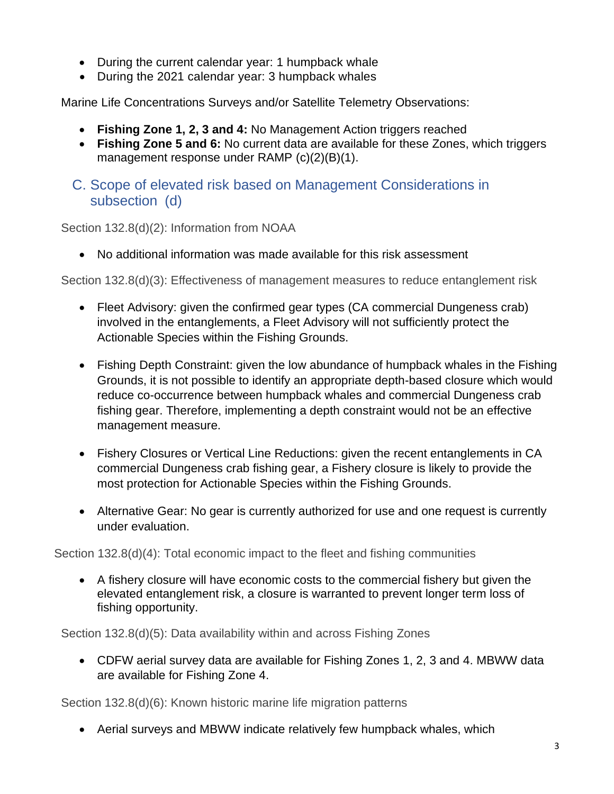- During the current calendar year: 1 humpback whale
- During the 2021 calendar year: 3 humpback whales

Marine Life Concentrations Surveys and/or Satellite Telemetry Observations:

- **Fishing Zone 1, 2, 3 and 4:** No Management Action triggers reached
- **Fishing Zone 5 and 6:** No current data are available for these Zones, which triggers management response under RAMP (c)(2)(B)(1).
- C. Scope of elevated risk based on Management Considerations in subsection (d)

Section 132.8(d)(2): Information from NOAA

• No additional information was made available for this risk assessment

Section 132.8(d)(3): Effectiveness of management measures to reduce entanglement risk

- Fleet Advisory: given the confirmed gear types (CA commercial Dungeness crab) involved in the entanglements, a Fleet Advisory will not sufficiently protect the Actionable Species within the Fishing Grounds.
- Fishing Depth Constraint: given the low abundance of humpback whales in the Fishing Grounds, it is not possible to identify an appropriate depth-based closure which would reduce co-occurrence between humpback whales and commercial Dungeness crab fishing gear. Therefore, implementing a depth constraint would not be an effective management measure.
- Fishery Closures or Vertical Line Reductions: given the recent entanglements in CA commercial Dungeness crab fishing gear, a Fishery closure is likely to provide the most protection for Actionable Species within the Fishing Grounds.
- Alternative Gear: No gear is currently authorized for use and one request is currently under evaluation.

Section 132.8(d)(4): Total economic impact to the fleet and fishing communities

• A fishery closure will have economic costs to the commercial fishery but given the elevated entanglement risk, a closure is warranted to prevent longer term loss of fishing opportunity.

Section 132.8(d)(5): Data availability within and across Fishing Zones

• CDFW aerial survey data are available for Fishing Zones 1, 2, 3 and 4. MBWW data are available for Fishing Zone 4.

Section 132.8(d)(6): Known historic marine life migration patterns

• Aerial surveys and MBWW indicate relatively few humpback whales, which